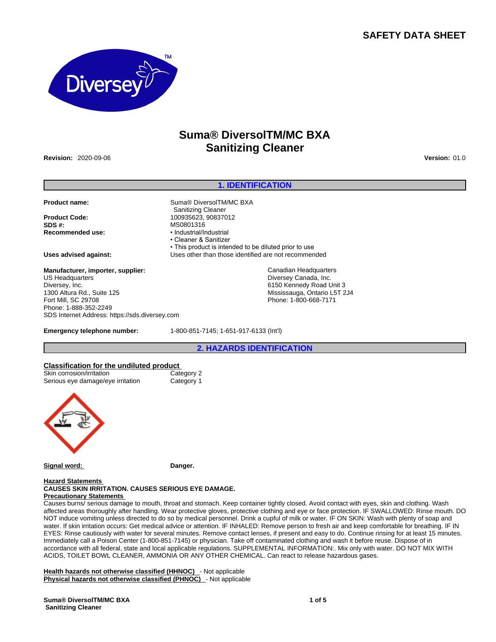# **SAFETY DATA SHEET**



# **Suma® DiversolTM/MC BXA Sanitizing Cleaner**

**Revision:** 2020-09-06 **Version:** 01.0

#### **1. IDENTIFICATION**

• This product is intended to be diluted prior to use

#### Product name: **Suma® DiversolTM/MC BXA**

**Product Code:** 100935623, 90837012 **SDS #: MS0801316**<br> **Recommended use: CONSTANT + Industrial/Industrial Recommended use:** 

**Uses advised against:** Uses other than those identified are not recommended

#### **Manufacturer, importer, supplier:** US Headquarters Diversey, Inc. 1300 Altura Rd., Suite 125 Fort Mill, SC 29708 Phone: 1-888-352-2249 SDS Internet Address: https://sds.diversey.com

**Emergency telephone number:** 1-800-851-7145; 1-651-917-6133 (Int'l)

Sanitizing Cleaner

• Cleaner & Sanitizer

**2. HAZARDS IDENTIFICATION**

Canadian Headquarters Diversey Canada, Inc. 6150 Kennedy Road Unit 3 Mississauga, Ontario L5T 2J4 Phone: 1-800-668-7171

# **Classification for the undiluted product**<br>
Skin corrosion/irritation<br>
Category 2

Skin corrosion/irritation Category 2<br>
Serious eve damage/eve irritation Category 1 Serious eye damage/eye irritation



**Signal word: Danger.**

#### **Hazard Statements CAUSES SKIN IRRITATION. CAUSES SERIOUS EYE DAMAGE.**

# **Precautionary Statements**

Causes burns/ serious damage to mouth, throat and stomach. Keep container tightly closed. Avoid contact with eyes, skin and clothing. Wash affected areas thoroughly after handling. Wear protective gloves, protective clothing and eye or face protection. IF SWALLOWED: Rinse mouth. DO NOT induce vomiting unless directed to do so by medical personnel. Drink a cupful of milk or water. IF ON SKIN: Wash with plenty of soap and water. If skin irritation occurs: Get medical advice or attention. IF INHALED: Remove person to fresh air and keep comfortable for breathing. IF IN EYES: Rinse cautiously with water for several minutes. Remove contact lenses, if present and easy to do. Continue rinsing for at least 15 minutes. Immediately call a Poison Center (1-800-851-7145) or physician. Take off contaminated clothing and wash it before reuse. Dispose of in accordance with all federal, state and local applicable regulations. SUPPLEMENTAL INFORMATION:. Mix only with water. DO NOT MIX WITH ACIDS, TOILET BOWL CLEANER, AMMONIA OR ANY OTHER CHEMICAL. Can react to release hazardous gases.

**Health hazards not otherwise classified (HHNOC)** - Not applicable **Physical hazards not otherwise classified (PHNOC)** - Not applicable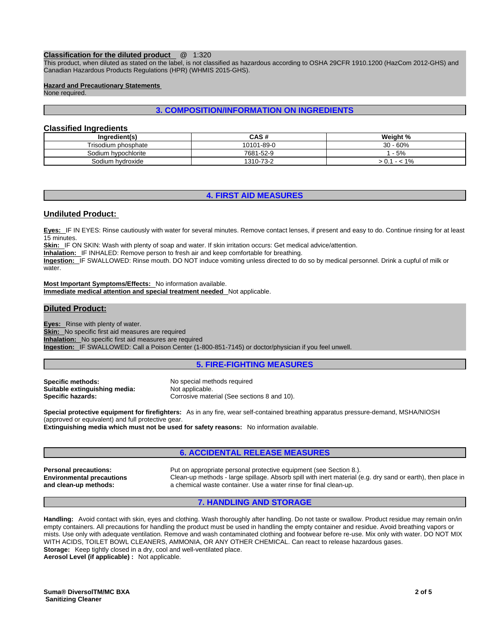#### **Classification for the diluted product** @ 1:320

This product, when diluted as stated on the label, is not classified as hazardous according to OSHA 29CFR 1910.1200 (HazCom 2012-GHS) and Canadian Hazardous Products Regulations (HPR) (WHMIS 2015-GHS).

#### **Hazard and Precautionary Statements**

None required.

# **3. COMPOSITION/INFORMATION ON INGREDIENTS**

# **Classified Ingredients**

| Ingredient(s)       | CAS#       | Weight %     |
|---------------------|------------|--------------|
| Trisodium phosphate | 10101-89-0 | $-60%$<br>30 |
| Sodium hypochlorite | 7681-52-9  | $-5%$        |
| Sodium hydroxide    | 1310-73-2  | 1%<br>- -    |

#### **4. FIRST AID MEASURES**

#### **Undiluted Product:**

**Eyes:** IF IN EYES: Rinse cautiously with water for several minutes. Remove contact lenses, if present and easy to do. Continue rinsing for at least 15 minutes.

**Skin:** IF ON SKIN: Wash with plenty of soap and water. If skin irritation occurs: Get medical advice/attention.

**Inhalation:** IF INHALED: Remove person to fresh air and keep comfortable for breathing.

**Ingestion:** IF SWALLOWED: Rinse mouth. DO NOT induce vomiting unless directed to do so by medical personnel. Drink a cupful of milk or water.

**Most Important Symptoms/Effects:** No information available. **Immediate medical attention and special treatment needed** Not applicable.

#### **Diluted Product:**

**Eyes:** Rinse with plenty of water. **Skin:** No specific first aid measures are required **Inhalation:** No specific first aid measures are required **Ingestion:** IF SWALLOWED: Call a Poison Center (1-800-851-7145) or doctor/physician if you feel unwell.

# **5. FIRE-FIGHTING MEASURES**

**Specific methods:** No special methods required **Suitable extinguishing media:** Not applicable.

**Specific hazards:** Corrosive material (See sections 8 and 10).

**Special protective equipment for firefighters:** As in any fire, wear self-contained breathing apparatus pressure-demand, MSHA/NIOSH (approved or equivalent) and full protective gear.

**Extinguishing media which must not be used for safety reasons:** No information available.

# **6. ACCIDENTAL RELEASE MEASURES**

**Environmental precautions and clean-up methods:** 

**Personal precautions:** Put on appropriate personal protective equipment (see Section 8.). Clean-up methods - large spillage. Absorb spill with inert material (e.g. dry sand or earth), then place in a chemical waste container. Use a water rinse for final clean-up.

# **7. HANDLING AND STORAGE**

**Handling:** Avoid contact with skin, eyes and clothing. Wash thoroughly after handling. Do not taste or swallow. Product residue may remain on/in empty containers. All precautions for handling the product must be used in handling the empty container and residue. Avoid breathing vapors or mists. Use only with adequate ventilation. Remove and wash contaminated clothing and footwear before re-use. Mix only with water. DO NOT MIX WITH ACIDS, TOILET BOWL CLEANERS, AMMONIA, OR ANY OTHER CHEMICAL. Can react to release hazardous gases. **Storage:** Keep tightly closed in a dry, cool and well-ventilated place.

**Aerosol Level (if applicable) :** Not applicable.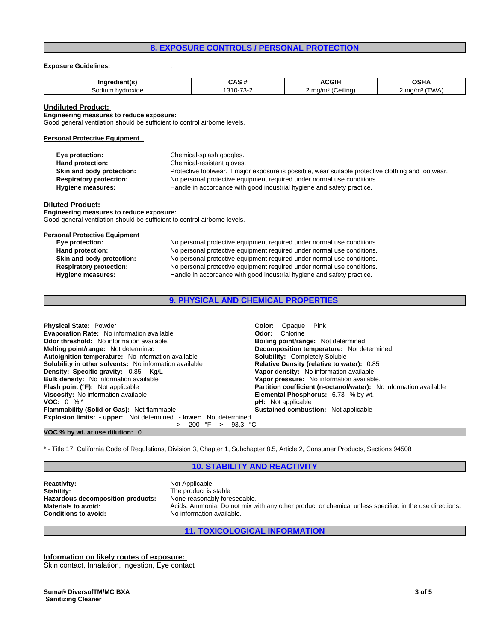# **8. EXPOSURE CONTROLS / PERSONAL PROTECTION**

#### **Exposure Guidelines:** .

| .                   | л                   | $\sim$<br>71 L        | .                            |
|---------------------|---------------------|-----------------------|------------------------------|
| hvdroxide<br>30diur | –<br>--<br>. .<br>- | ma/r.<br>∶eılına<br>- | `m∩/m⊱<br>$\frac{1}{1}$<br>. |

#### **Undiluted Product:**

**Engineering measures to reduce exposure:** Good general ventilation should be sufficient to control airborne levels.

#### **Personal Protective Equipment**

| Eye protection:                | Chemical-splash goggles.                                                                            |
|--------------------------------|-----------------------------------------------------------------------------------------------------|
| Hand protection:               | Chemical-resistant gloves.                                                                          |
| Skin and body protection:      | Protective footwear. If major exposure is possible, wear suitable protective clothing and footwear. |
| <b>Respiratory protection:</b> | No personal protective equipment required under normal use conditions.                              |
| Hygiene measures:              | Handle in accordance with good industrial hygiene and safety practice.                              |

#### **Diluted Product:**

**Engineering measures to reduce exposure:** Good general ventilation should be sufficient to control airborne levels.

#### **Personal Protective Equipment**

| Eye protection:                | No personal protective equipment required under normal use conditions. |
|--------------------------------|------------------------------------------------------------------------|
| Hand protection:               | No personal protective equipment required under normal use conditions. |
| Skin and body protection:      | No personal protective equipment required under normal use conditions. |
| <b>Respiratory protection:</b> | No personal protective equipment required under normal use conditions. |
| Hygiene measures:              | Handle in accordance with good industrial hygiene and safety practice. |

# **9. PHYSICAL AND CHEMICAL PROPERTIES**

| <b>Physical State: Powder</b>                                     | Pink<br><b>Color:</b> Opaque                                      |
|-------------------------------------------------------------------|-------------------------------------------------------------------|
| <b>Evaporation Rate:</b> No information available                 | <b>Odor:</b> Chlorine                                             |
| <b>Odor threshold:</b> No information available.                  | <b>Boiling point/range:</b> Not determined                        |
| <b>Melting point/range:</b> Not determined                        | <b>Decomposition temperature:</b> Not determined                  |
| Autoignition temperature: No information available                | <b>Solubility: Completely Soluble</b>                             |
| <b>Solubility in other solvents:</b> No information available     | Relative Density (relative to water): 0.85                        |
| Density: Specific gravity: 0.85 Kg/L                              | Vapor density: No information available                           |
| <b>Bulk density:</b> No information available                     | Vapor pressure: No information available.                         |
| <b>Flash point (°F):</b> Not applicable                           | Partition coefficient (n-octanol/water): No information available |
| Viscosity: No information available                               | <b>Elemental Phosphorus: 6.73 % by wt.</b>                        |
| <b>VOC:</b> 0 % $*$                                               | <b>pH</b> : Not applicable                                        |
| <b>Flammability (Solid or Gas):</b> Not flammable                 | <b>Sustained combustion:</b> Not applicable                       |
| Explosion limits: - upper: Not determined - lower: Not determined |                                                                   |
| 93.3 °C<br>200 °F >                                               |                                                                   |

#### **VOC % by wt. at use dilution:** 0

\* - Title 17, California Code of Regulations, Division 3, Chapter 1, Subchapter 8.5, Article 2, Consumer Products, Sections 94508

#### **10. STABILITY AND REACTIVITY**

**Reactivity:** Not Applicable Stability: Not Applicable Stability: **Hazardous decomposition products:** 

The product is stable<br>None reasonably foreseeable. **Materials to avoid: Acids.** Ammonia. Do not mix with any other product or chemical unless specified in the use directions.<br> **Conditions to avoid:** No information available. **Conditions to avoid:** No information available.

# **11. TOXICOLOGICAL INFORMATION**

**Information on likely routes of exposure:**

Skin contact, Inhalation, Ingestion, Eye contact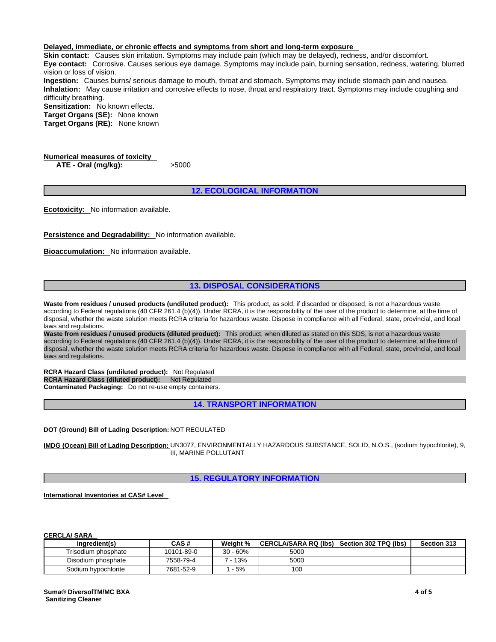#### **Delayed, immediate, or chronic effects and symptoms from short and long-term exposure**

**Skin contact:** Causes skin irritation. Symptoms may include pain (which may be delayed), redness, and/or discomfort. **Eye contact:** Corrosive. Causes serious eye damage. Symptoms may include pain, burning sensation, redness, watering, blurred vision or loss of vision.

**Ingestion:** Causes burns/ serious damage to mouth, throat and stomach. Symptoms may include stomach pain and nausea. **Inhalation:** May cause irritation and corrosive effects to nose, throat and respiratory tract. Symptoms may include coughing and difficulty breathing.

**Sensitization:** No known effects.

**Target Organs (SE):** None known **Target Organs (RE):** None known

**Numerical measures of toxicity ATE - Oral (mg/kg):** >5000

**12. ECOLOGICAL INFORMATION**

**Ecotoxicity:** No information available.

**Persistence and Degradability:** No information available.

**Bioaccumulation:** No information available.

# **13. DISPOSAL CONSIDERATIONS**

**Waste from residues / unused products (undiluted product):** This product, as sold, if discarded or disposed, is not a hazardous waste according to Federal regulations (40 CFR 261.4 (b)(4)). Under RCRA, it is the responsibility of the user of the product to determine, at the time of disposal, whether the waste solution meets RCRA criteria for hazardous waste. Dispose in compliance with all Federal, state, provincial, and local laws and regulations.

**Waste from residues / unused products (diluted product):** This product, when diluted as stated on this SDS, is not a hazardous waste according to Federal regulations (40 CFR 261.4 (b)(4)). Under RCRA, it is the responsibility of the user of the product to determine, at the time of disposal, whether the waste solution meets RCRA criteria for hazardous waste. Dispose in compliance with all Federal, state, provincial, and local laws and regulations.

**RCRA Hazard Class (undiluted product):** Not Regulated **RCRA Hazard Class (diluted product):** Not Regulated **Contaminated Packaging:** Do not re-use empty containers.

**14. TRANSPORT INFORMATION**

**DOT (Ground) Bill of Lading Description:** NOT REGULATED

**IMDG (Ocean) Bill of Lading Description:** UN3077, ENVIRONMENTALLY HAZARDOUS SUBSTANCE, SOLID, N.O.S., (sodium hypochlorite), 9, III, MARINE POLLUTANT

**15. REGULATORY INFORMATION**

**International Inventories at CAS# Level** 

**CERCLA/ SARA** 

| Ingredient(s)       | CAS #      | Weight % | <b>ICERCLA/SARA RQ (Ibs)</b> | Section 302 TPQ (lbs) | Section 313 |
|---------------------|------------|----------|------------------------------|-----------------------|-------------|
| Trisodium phosphate | 10101-89-0 | 30 - 60% | 5000                         |                       |             |
| Disodium phosphate  | 7558-79-4  | $-13%$   | 5000                         |                       |             |
| Sodium hypochlorite | 7681-52-9  | $-5%$    | 100                          |                       |             |